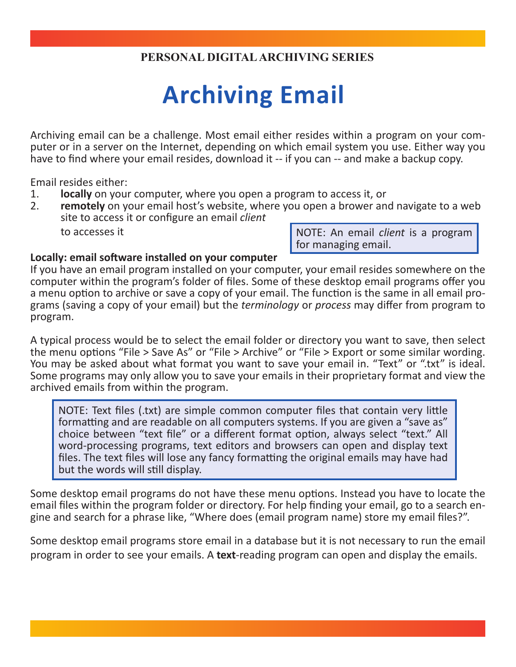## **PERSONAL DIGITAL ARCHIVING SERIES**

## **Archiving Email**

Archiving email can be a challenge. Most email either resides within a program on your computer or in a server on the Internet, depending on which email system you use. Either way you have to find where your email resides, download it -- if you can -- and make a backup copy.

Email resides either:

- 1. **locally** on your computer, where you open a program to access it, or
- 2. **remotely** on your email host's website, where you open a brower and navigate to a web site to access it or configure an email *client*

to accesses it

NOTE: An email *client* is a program for managing email.

## **Locally: email software installed on your computer**

If you have an email program installed on your computer, your email resides somewhere on the computer within the program's folder of files. Some of these desktop email programs offer you a menu option to archive or save a copy of your email. The function is the same in all email pro- grams (saving a copy of your email) but the *terminology* or *process* may differ from program to program.

A typical process would be to select the email folder or directory you want to save, then select the menu options "File > Save As" or "File > Archive" or "File > Export or some similar wording. You may be asked about what format you want to save your email in. "Text" or ".txt" is ideal. Some programs may only allow you to save your emails in their proprietary format and view the archived emails from within the program.

NOTE: Text files (.txt) are simple common computer files that contain very little formatting and are readable on all computers systems. If you are given a "save as" choice between "text file" or a different format option, always select "text." All word-processing programs, text editors and browsers can open and display text files. The text files will lose any fancy formatting the original emails may have had but the words will still display.

Some desktop email programs do not have these menu options. Instead you have to locate the email files within the program folder or directory. For help finding your email, go to a search engine and search for a phrase like, "Where does (email program name) store my email files?".

Some desktop email programs store email in a database but it is not necessary to run the email program in order to see your emails. A **text**-reading program can open and display the emails.